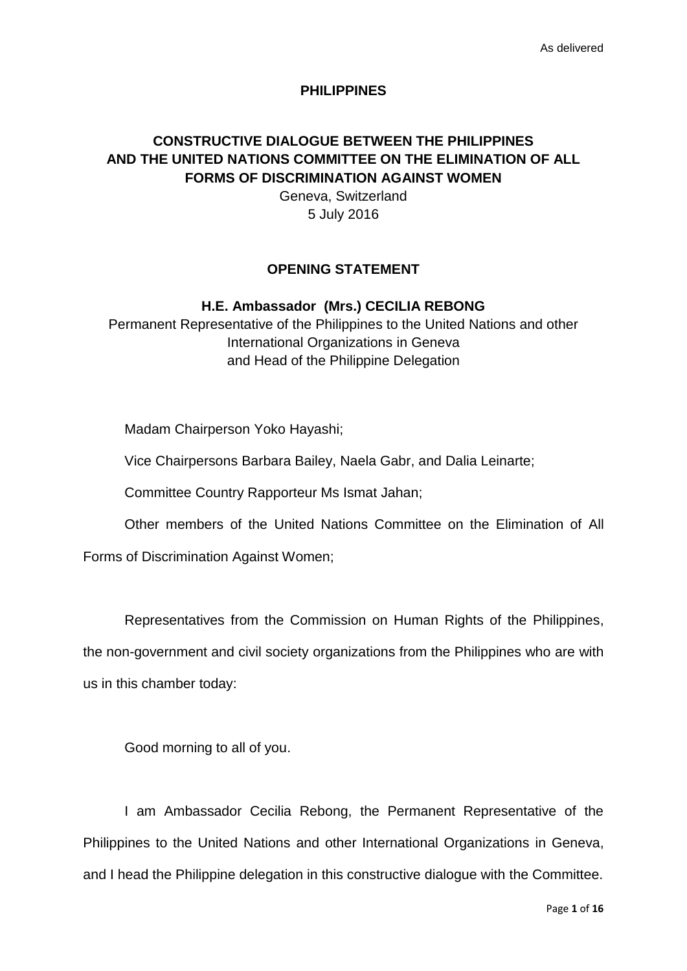### **PHILIPPINES**

# **CONSTRUCTIVE DIALOGUE BETWEEN THE PHILIPPINES AND THE UNITED NATIONS COMMITTEE ON THE ELIMINATION OF ALL FORMS OF DISCRIMINATION AGAINST WOMEN**

Geneva, Switzerland 5 July 2016

## **OPENING STATEMENT**

# **H.E. Ambassador (Mrs.) CECILIA REBONG**

Permanent Representative of the Philippines to the United Nations and other International Organizations in Geneva and Head of the Philippine Delegation

Madam Chairperson Yoko Hayashi;

Vice Chairpersons Barbara Bailey, Naela Gabr, and Dalia Leinarte;

Committee Country Rapporteur Ms Ismat Jahan;

Other members of the United Nations Committee on the Elimination of All

Forms of Discrimination Against Women;

Representatives from the Commission on Human Rights of the Philippines, the non-government and civil society organizations from the Philippines who are with us in this chamber today:

Good morning to all of you.

I am Ambassador Cecilia Rebong, the Permanent Representative of the Philippines to the United Nations and other International Organizations in Geneva, and I head the Philippine delegation in this constructive dialogue with the Committee.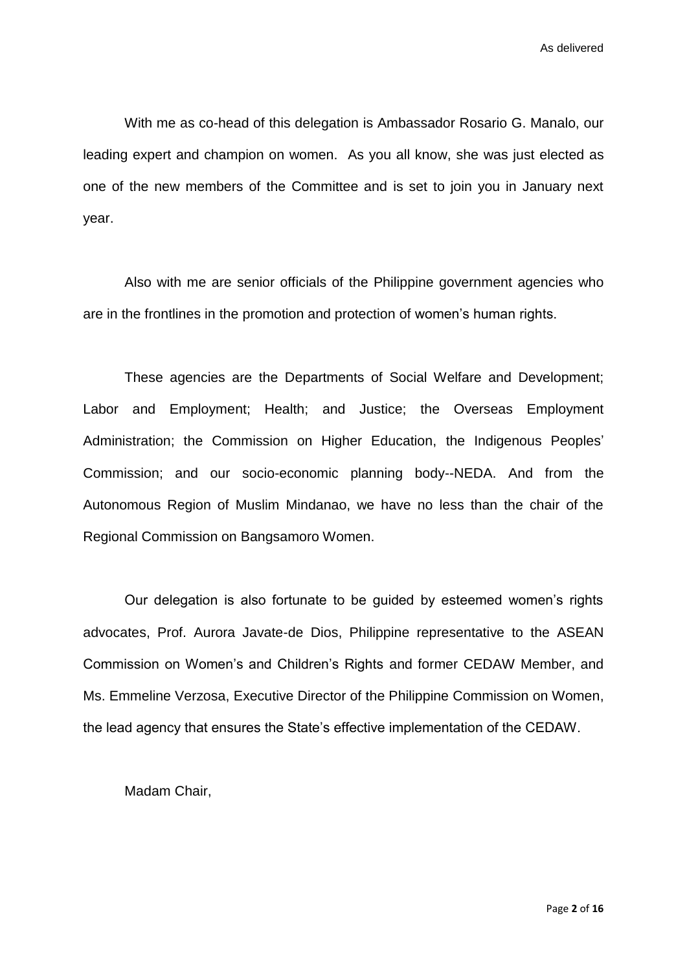With me as co-head of this delegation is Ambassador Rosario G. Manalo, our leading expert and champion on women. As you all know, she was just elected as one of the new members of the Committee and is set to join you in January next year.

Also with me are senior officials of the Philippine government agencies who are in the frontlines in the promotion and protection of women's human rights.

These agencies are the Departments of Social Welfare and Development; Labor and Employment; Health; and Justice; the Overseas Employment Administration; the Commission on Higher Education, the Indigenous Peoples' Commission; and our socio-economic planning body--NEDA. And from the Autonomous Region of Muslim Mindanao, we have no less than the chair of the Regional Commission on Bangsamoro Women.

Our delegation is also fortunate to be guided by esteemed women's rights advocates, Prof. Aurora Javate-de Dios, Philippine representative to the ASEAN Commission on Women's and Children's Rights and former CEDAW Member, and Ms. Emmeline Verzosa, Executive Director of the Philippine Commission on Women, the lead agency that ensures the State's effective implementation of the CEDAW.

Madam Chair,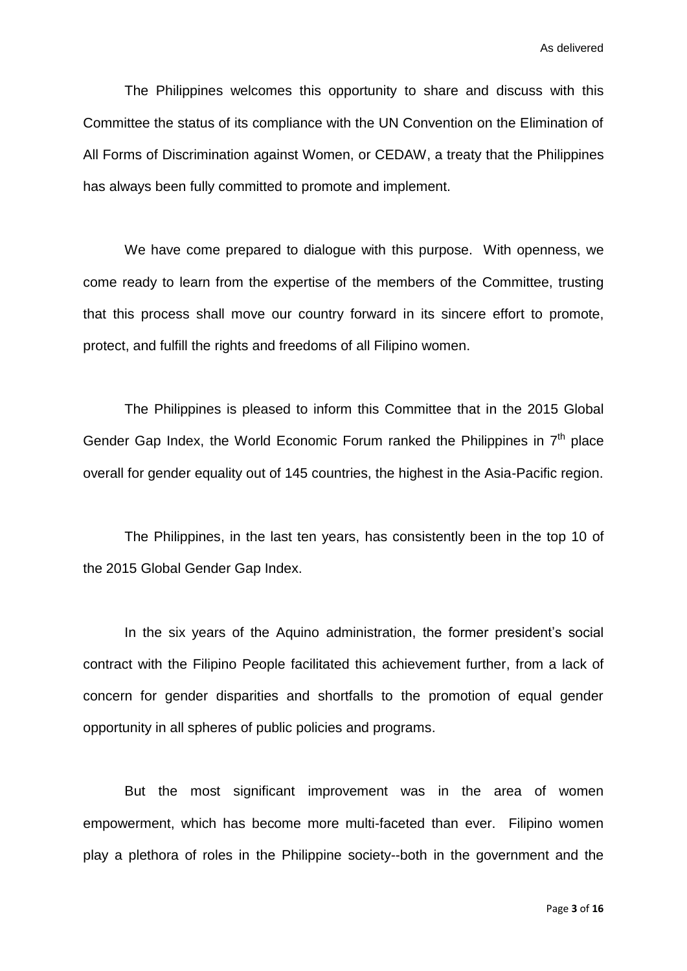The Philippines welcomes this opportunity to share and discuss with this Committee the status of its compliance with the UN Convention on the Elimination of All Forms of Discrimination against Women, or CEDAW, a treaty that the Philippines has always been fully committed to promote and implement.

We have come prepared to dialogue with this purpose. With openness, we come ready to learn from the expertise of the members of the Committee, trusting that this process shall move our country forward in its sincere effort to promote, protect, and fulfill the rights and freedoms of all Filipino women.

The Philippines is pleased to inform this Committee that in the 2015 Global Gender Gap Index, the World Economic Forum ranked the Philippines in  $7<sup>th</sup>$  place overall for gender equality out of 145 countries, the highest in the Asia-Pacific region.

The Philippines, in the last ten years, has consistently been in the top 10 of the 2015 Global Gender Gap Index.

In the six years of the Aquino administration, the former president's social contract with the Filipino People facilitated this achievement further, from a lack of concern for gender disparities and shortfalls to the promotion of equal gender opportunity in all spheres of public policies and programs.

But the most significant improvement was in the area of women empowerment, which has become more multi-faceted than ever. Filipino women play a plethora of roles in the Philippine society--both in the government and the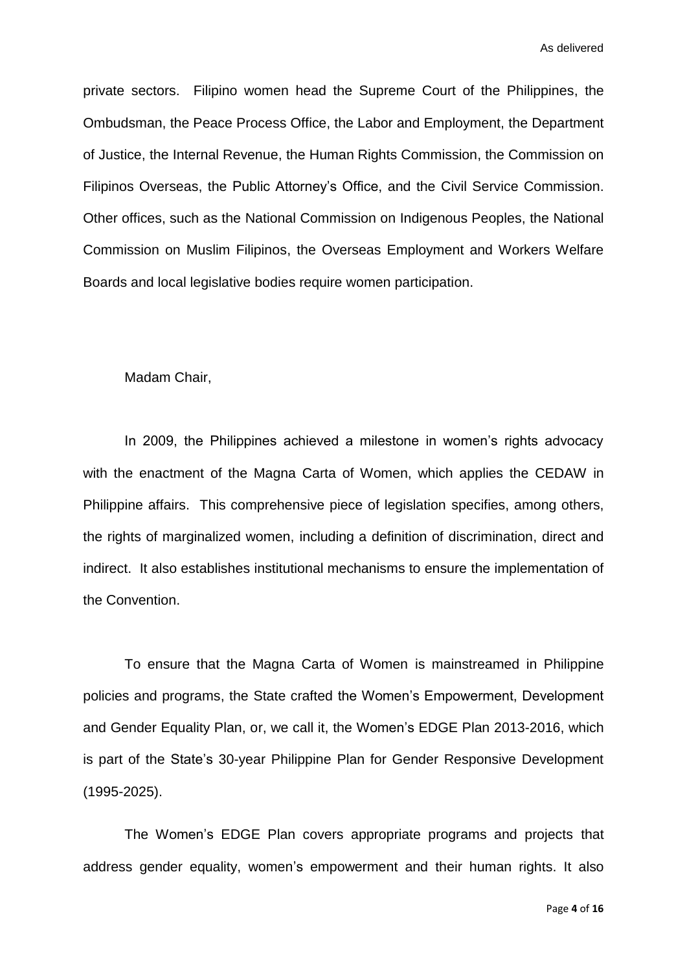private sectors. Filipino women head the Supreme Court of the Philippines, the Ombudsman, the Peace Process Office, the Labor and Employment, the Department of Justice, the Internal Revenue, the Human Rights Commission, the Commission on Filipinos Overseas, the Public Attorney's Office, and the Civil Service Commission. Other offices, such as the National Commission on Indigenous Peoples, the National Commission on Muslim Filipinos, the Overseas Employment and Workers Welfare Boards and local legislative bodies require women participation.

### Madam Chair,

In 2009, the Philippines achieved a milestone in women's rights advocacy with the enactment of the Magna Carta of Women, which applies the CEDAW in Philippine affairs. This comprehensive piece of legislation specifies, among others, the rights of marginalized women, including a definition of discrimination, direct and indirect. It also establishes institutional mechanisms to ensure the implementation of the Convention.

To ensure that the Magna Carta of Women is mainstreamed in Philippine policies and programs, the State crafted the Women's Empowerment, Development and Gender Equality Plan, or, we call it, the Women's EDGE Plan 2013-2016, which is part of the State's 30-year Philippine Plan for Gender Responsive Development (1995-2025).

The Women's EDGE Plan covers appropriate programs and projects that address gender equality, women's empowerment and their human rights. It also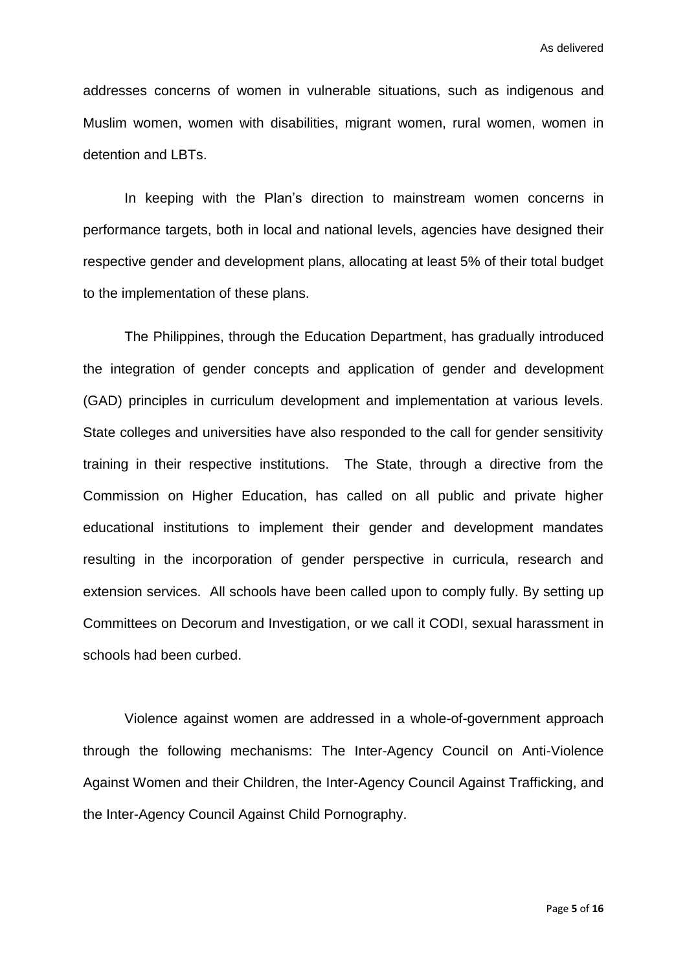addresses concerns of women in vulnerable situations, such as indigenous and Muslim women, women with disabilities, migrant women, rural women, women in detention and LBTs.

In keeping with the Plan's direction to mainstream women concerns in performance targets, both in local and national levels, agencies have designed their respective gender and development plans, allocating at least 5% of their total budget to the implementation of these plans.

The Philippines, through the Education Department, has gradually introduced the integration of gender concepts and application of gender and development (GAD) principles in curriculum development and implementation at various levels. State colleges and universities have also responded to the call for gender sensitivity training in their respective institutions. The State, through a directive from the Commission on Higher Education, has called on all public and private higher educational institutions to implement their gender and development mandates resulting in the incorporation of gender perspective in curricula, research and extension services. All schools have been called upon to comply fully. By setting up Committees on Decorum and Investigation, or we call it CODI, sexual harassment in schools had been curbed.

Violence against women are addressed in a whole-of-government approach through the following mechanisms: The Inter-Agency Council on Anti-Violence Against Women and their Children, the Inter-Agency Council Against Trafficking, and the Inter-Agency Council Against Child Pornography.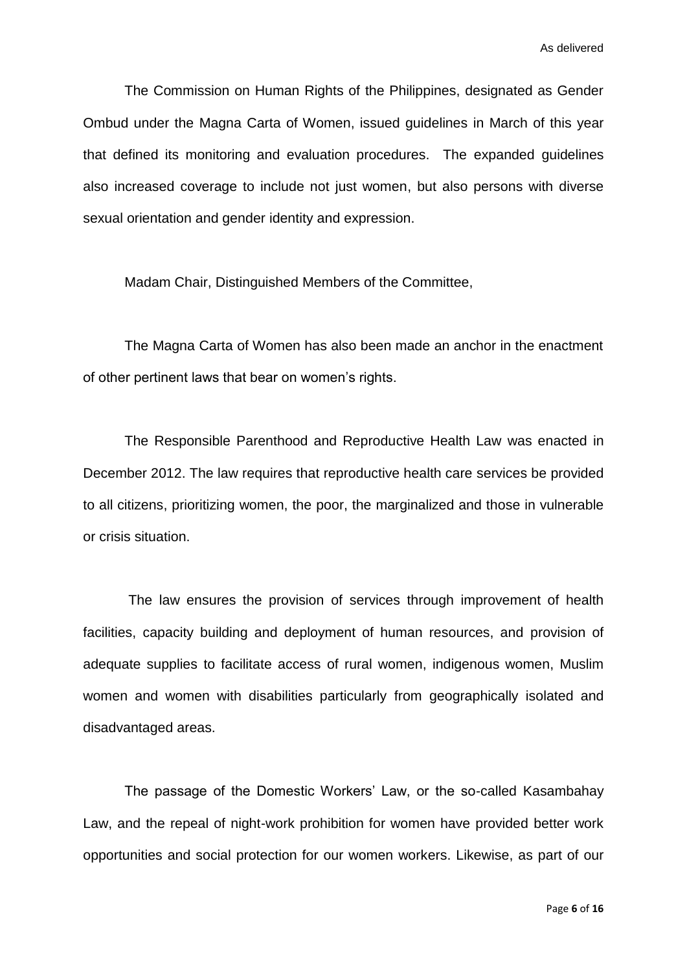The Commission on Human Rights of the Philippines, designated as Gender Ombud under the Magna Carta of Women, issued guidelines in March of this year that defined its monitoring and evaluation procedures. The expanded guidelines also increased coverage to include not just women, but also persons with diverse sexual orientation and gender identity and expression.

Madam Chair, Distinguished Members of the Committee,

The Magna Carta of Women has also been made an anchor in the enactment of other pertinent laws that bear on women's rights.

The Responsible Parenthood and Reproductive Health Law was enacted in December 2012. The law requires that reproductive health care services be provided to all citizens, prioritizing women, the poor, the marginalized and those in vulnerable or crisis situation.

The law ensures the provision of services through improvement of health facilities, capacity building and deployment of human resources, and provision of adequate supplies to facilitate access of rural women, indigenous women, Muslim women and women with disabilities particularly from geographically isolated and disadvantaged areas.

The passage of the Domestic Workers' Law, or the so-called Kasambahay Law, and the repeal of night-work prohibition for women have provided better work opportunities and social protection for our women workers. Likewise, as part of our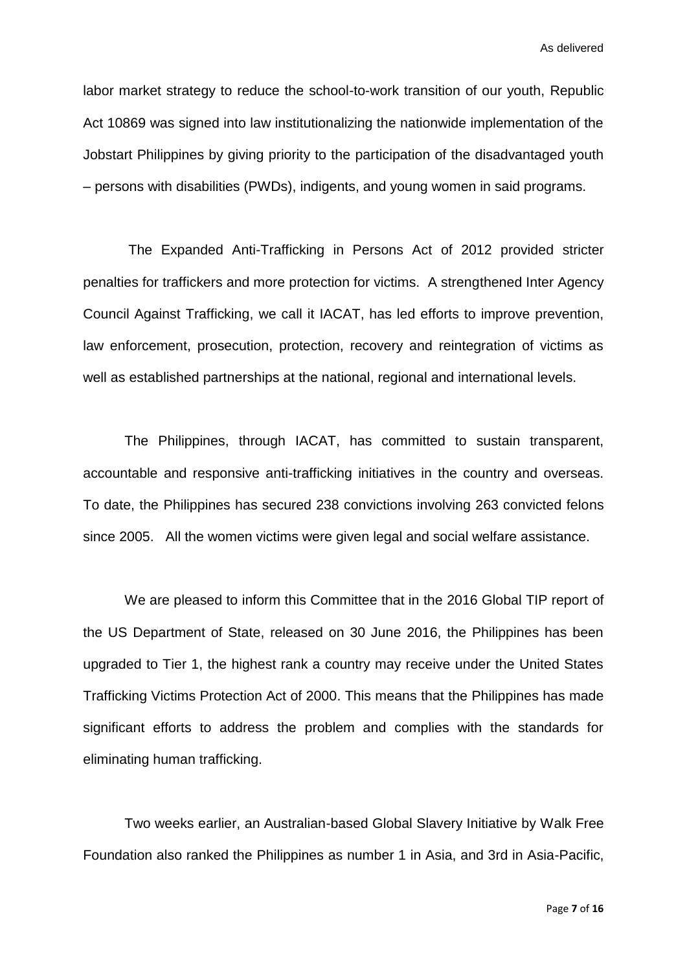labor market strategy to reduce the school-to-work transition of our youth, Republic Act 10869 was signed into law institutionalizing the nationwide implementation of the Jobstart Philippines by giving priority to the participation of the disadvantaged youth – persons with disabilities (PWDs), indigents, and young women in said programs.

The Expanded Anti-Trafficking in Persons Act of 2012 provided stricter penalties for traffickers and more protection for victims. A strengthened Inter Agency Council Against Trafficking, we call it IACAT, has led efforts to improve prevention, law enforcement, prosecution, protection, recovery and reintegration of victims as well as established partnerships at the national, regional and international levels.

The Philippines, through IACAT, has committed to sustain transparent, accountable and responsive anti-trafficking initiatives in the country and overseas. To date, the Philippines has secured 238 convictions involving 263 convicted felons since 2005. All the women victims were given legal and social welfare assistance.

We are pleased to inform this Committee that in the 2016 Global TIP report of the US Department of State, released on 30 June 2016, the Philippines has been upgraded to Tier 1, the highest rank a country may receive under the United States Trafficking Victims Protection Act of 2000. This means that the Philippines has made significant efforts to address the problem and complies with the standards for eliminating human trafficking.

Two weeks earlier, an Australian-based Global Slavery Initiative by Walk Free Foundation also ranked the Philippines as number 1 in Asia, and 3rd in Asia-Pacific,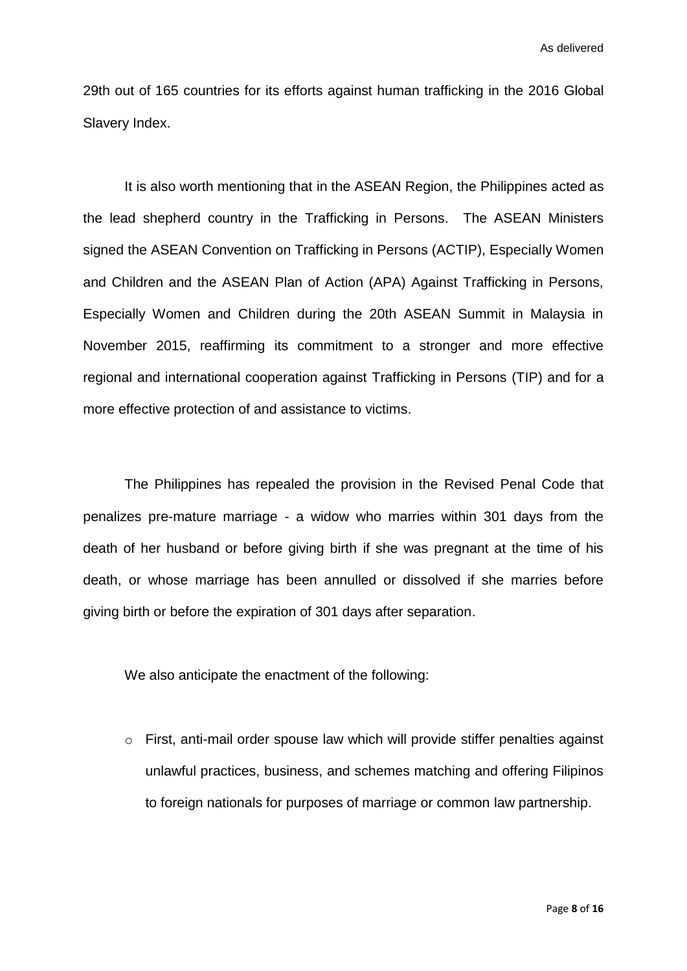29th out of 165 countries for its efforts against human trafficking in the 2016 Global Slavery Index.

It is also worth mentioning that in the ASEAN Region, the Philippines acted as the lead shepherd country in the Trafficking in Persons. The ASEAN Ministers signed the ASEAN Convention on Trafficking in Persons (ACTIP), Especially Women and Children and the ASEAN Plan of Action (APA) Against Trafficking in Persons, Especially Women and Children during the 20th ASEAN Summit in Malaysia in November 2015, reaffirming its commitment to a stronger and more effective regional and international cooperation against Trafficking in Persons (TIP) and for a more effective protection of and assistance to victims.

The Philippines has repealed the provision in the Revised Penal Code that penalizes pre-mature marriage - a widow who marries within 301 days from the death of her husband or before giving birth if she was pregnant at the time of his death, or whose marriage has been annulled or dissolved if she marries before giving birth or before the expiration of 301 days after separation.

We also anticipate the enactment of the following:

o First, anti-mail order spouse law which will provide stiffer penalties against unlawful practices, business, and schemes matching and offering Filipinos to foreign nationals for purposes of marriage or common law partnership.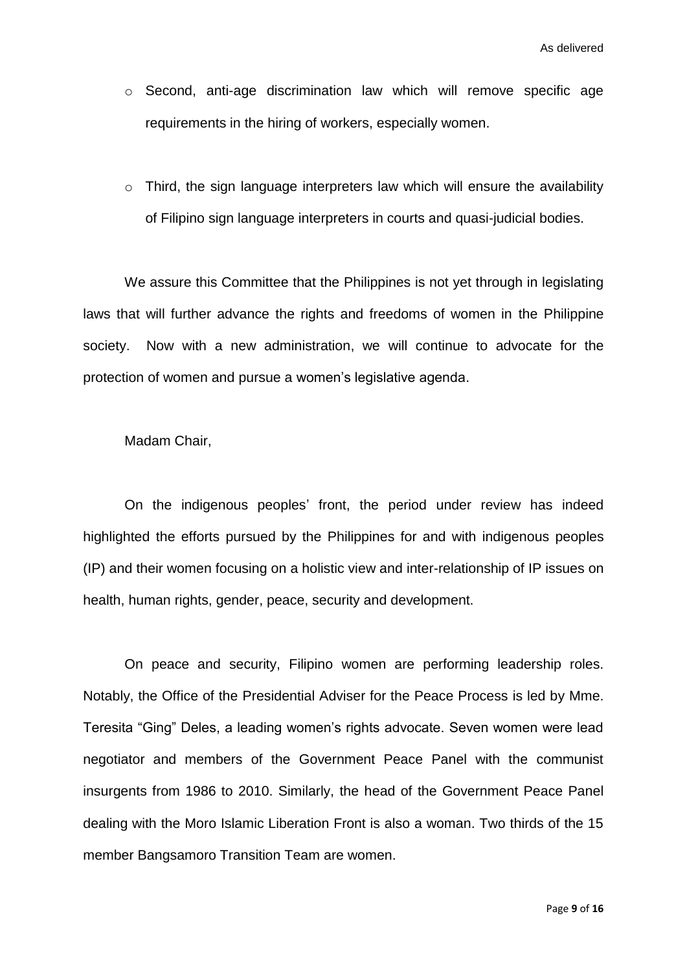- o Second, anti-age discrimination law which will remove specific age requirements in the hiring of workers, especially women.
- o Third, the sign language interpreters law which will ensure the availability of Filipino sign language interpreters in courts and quasi-judicial bodies.

We assure this Committee that the Philippines is not yet through in legislating laws that will further advance the rights and freedoms of women in the Philippine society. Now with a new administration, we will continue to advocate for the protection of women and pursue a women's legislative agenda.

Madam Chair,

On the indigenous peoples' front, the period under review has indeed highlighted the efforts pursued by the Philippines for and with indigenous peoples (IP) and their women focusing on a holistic view and inter-relationship of IP issues on health, human rights, gender, peace, security and development.

On peace and security, Filipino women are performing leadership roles. Notably, the Office of the Presidential Adviser for the Peace Process is led by Mme. Teresita "Ging" Deles, a leading women's rights advocate. Seven women were lead negotiator and members of the Government Peace Panel with the communist insurgents from 1986 to 2010. Similarly, the head of the Government Peace Panel dealing with the Moro Islamic Liberation Front is also a woman. Two thirds of the 15 member Bangsamoro Transition Team are women.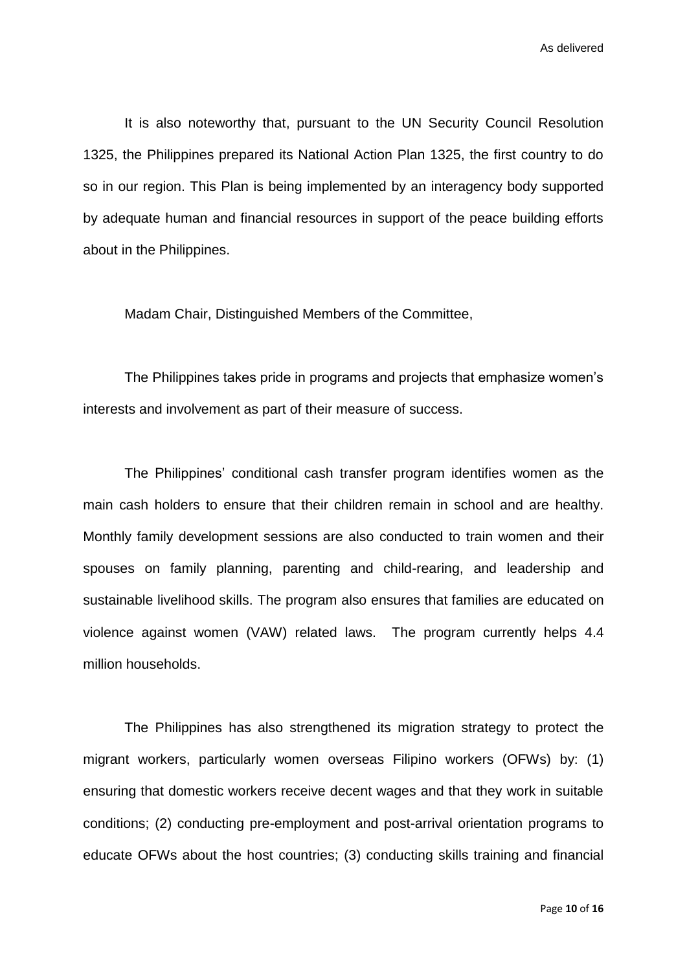It is also noteworthy that, pursuant to the UN Security Council Resolution 1325, the Philippines prepared its National Action Plan 1325, the first country to do so in our region. This Plan is being implemented by an interagency body supported by adequate human and financial resources in support of the peace building efforts about in the Philippines.

Madam Chair, Distinguished Members of the Committee,

The Philippines takes pride in programs and projects that emphasize women's interests and involvement as part of their measure of success.

The Philippines' conditional cash transfer program identifies women as the main cash holders to ensure that their children remain in school and are healthy. Monthly family development sessions are also conducted to train women and their spouses on family planning, parenting and child-rearing, and leadership and sustainable livelihood skills. The program also ensures that families are educated on violence against women (VAW) related laws. The program currently helps 4.4 million households.

The Philippines has also strengthened its migration strategy to protect the migrant workers, particularly women overseas Filipino workers (OFWs) by: (1) ensuring that domestic workers receive decent wages and that they work in suitable conditions; (2) conducting pre-employment and post-arrival orientation programs to educate OFWs about the host countries; (3) conducting skills training and financial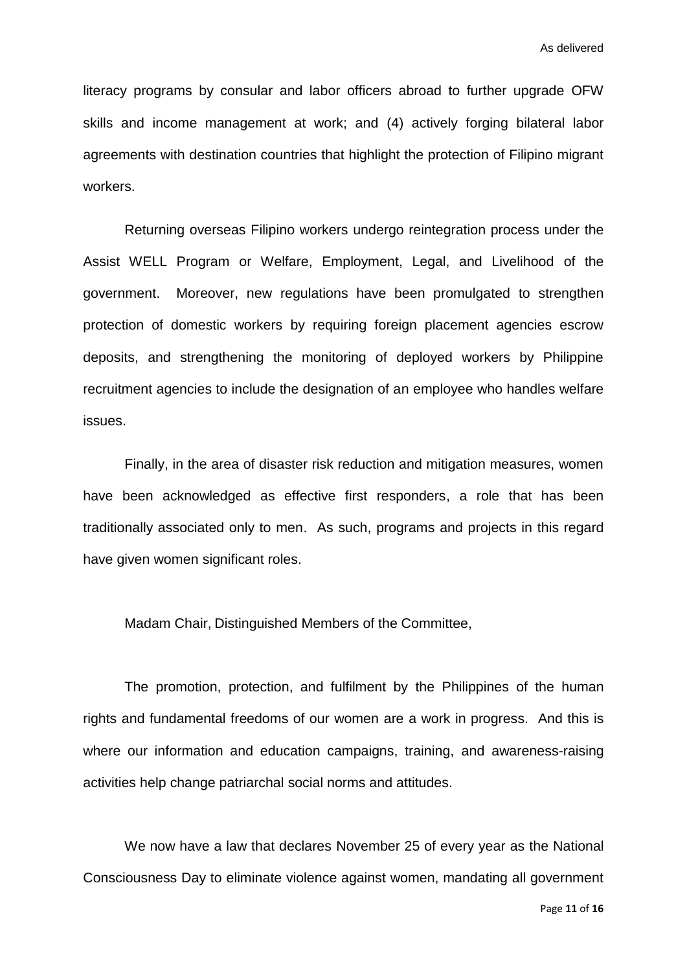literacy programs by consular and labor officers abroad to further upgrade OFW skills and income management at work; and (4) actively forging bilateral labor agreements with destination countries that highlight the protection of Filipino migrant workers.

Returning overseas Filipino workers undergo reintegration process under the Assist WELL Program or Welfare, Employment, Legal, and Livelihood of the government. Moreover, new regulations have been promulgated to strengthen protection of domestic workers by requiring foreign placement agencies escrow deposits, and strengthening the monitoring of deployed workers by Philippine recruitment agencies to include the designation of an employee who handles welfare issues.

Finally, in the area of disaster risk reduction and mitigation measures, women have been acknowledged as effective first responders, a role that has been traditionally associated only to men. As such, programs and projects in this regard have given women significant roles.

Madam Chair, Distinguished Members of the Committee,

The promotion, protection, and fulfilment by the Philippines of the human rights and fundamental freedoms of our women are a work in progress. And this is where our information and education campaigns, training, and awareness-raising activities help change patriarchal social norms and attitudes.

We now have a law that declares November 25 of every year as the National Consciousness Day to eliminate violence against women, mandating all government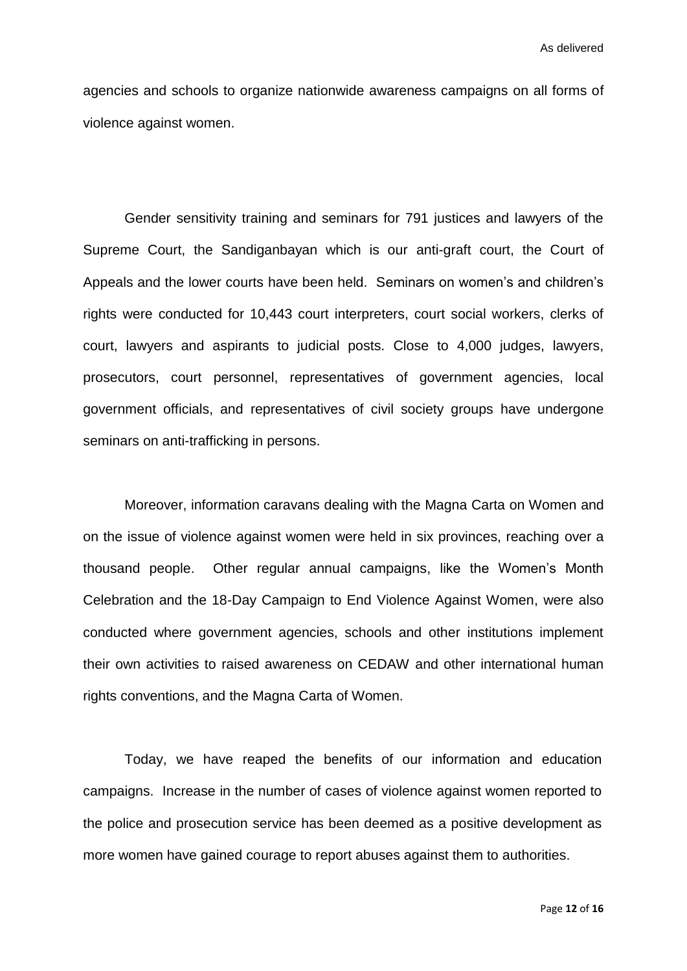agencies and schools to organize nationwide awareness campaigns on all forms of violence against women.

Gender sensitivity training and seminars for 791 justices and lawyers of the Supreme Court, the Sandiganbayan which is our anti-graft court, the Court of Appeals and the lower courts have been held. Seminars on women's and children's rights were conducted for 10,443 court interpreters, court social workers, clerks of court, lawyers and aspirants to judicial posts. Close to 4,000 judges, lawyers, prosecutors, court personnel, representatives of government agencies, local government officials, and representatives of civil society groups have undergone seminars on anti-trafficking in persons.

Moreover, information caravans dealing with the Magna Carta on Women and on the issue of violence against women were held in six provinces, reaching over a thousand people. Other regular annual campaigns, like the Women's Month Celebration and the 18-Day Campaign to End Violence Against Women, were also conducted where government agencies, schools and other institutions implement their own activities to raised awareness on CEDAW and other international human rights conventions, and the Magna Carta of Women.

Today, we have reaped the benefits of our information and education campaigns. Increase in the number of cases of violence against women reported to the police and prosecution service has been deemed as a positive development as more women have gained courage to report abuses against them to authorities.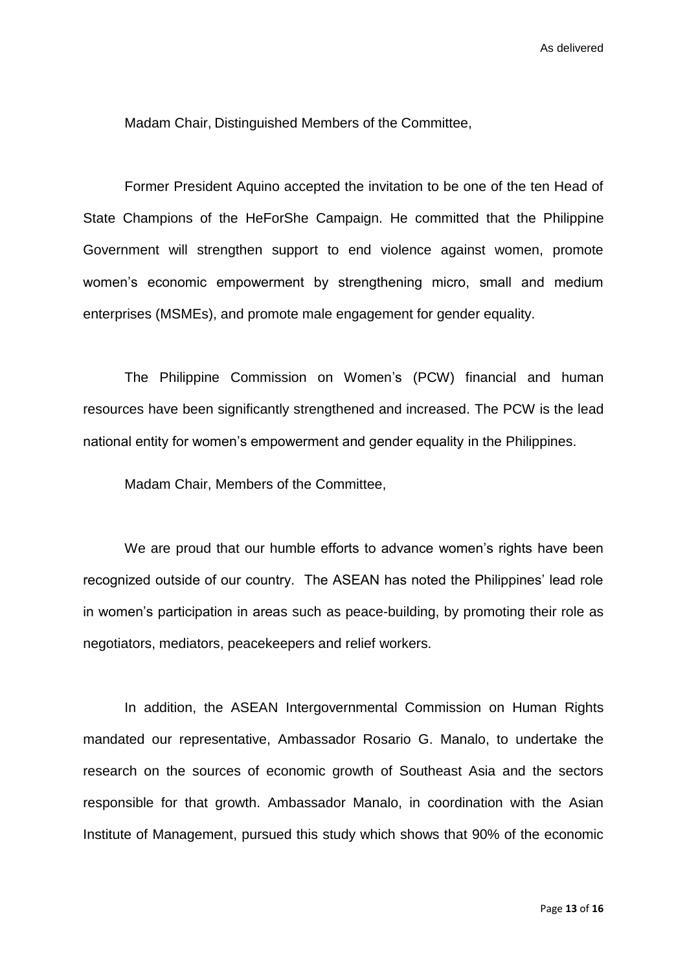Madam Chair, Distinguished Members of the Committee,

Former President Aquino accepted the invitation to be one of the ten Head of State Champions of the HeForShe Campaign. He committed that the Philippine Government will strengthen support to end violence against women, promote women's economic empowerment by strengthening micro, small and medium enterprises (MSMEs), and promote male engagement for gender equality.

The Philippine Commission on Women's (PCW) financial and human resources have been significantly strengthened and increased. The PCW is the lead national entity for women's empowerment and gender equality in the Philippines.

Madam Chair, Members of the Committee,

We are proud that our humble efforts to advance women's rights have been recognized outside of our country. The ASEAN has noted the Philippines' lead role in women's participation in areas such as peace-building, by promoting their role as negotiators, mediators, peacekeepers and relief workers.

In addition, the ASEAN Intergovernmental Commission on Human Rights mandated our representative, Ambassador Rosario G. Manalo, to undertake the research on the sources of economic growth of Southeast Asia and the sectors responsible for that growth. Ambassador Manalo, in coordination with the Asian Institute of Management, pursued this study which shows that 90% of the economic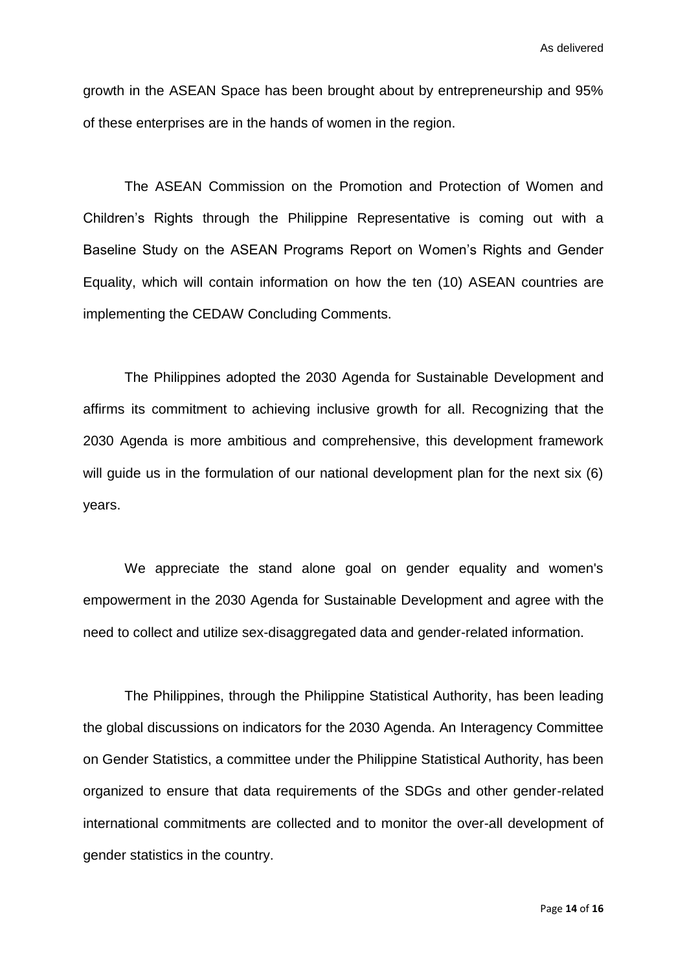growth in the ASEAN Space has been brought about by entrepreneurship and 95% of these enterprises are in the hands of women in the region.

The ASEAN Commission on the Promotion and Protection of Women and Children's Rights through the Philippine Representative is coming out with a Baseline Study on the ASEAN Programs Report on Women's Rights and Gender Equality, which will contain information on how the ten (10) ASEAN countries are implementing the CEDAW Concluding Comments.

The Philippines adopted the 2030 Agenda for Sustainable Development and affirms its commitment to achieving inclusive growth for all. Recognizing that the 2030 Agenda is more ambitious and comprehensive, this development framework will quide us in the formulation of our national development plan for the next six (6) years.

We appreciate the stand alone goal on gender equality and women's empowerment in the 2030 Agenda for Sustainable Development and agree with the need to collect and utilize sex-disaggregated data and gender-related information.

The Philippines, through the Philippine Statistical Authority, has been leading the global discussions on indicators for the 2030 Agenda. An Interagency Committee on Gender Statistics, a committee under the Philippine Statistical Authority, has been organized to ensure that data requirements of the SDGs and other gender-related international commitments are collected and to monitor the over-all development of gender statistics in the country.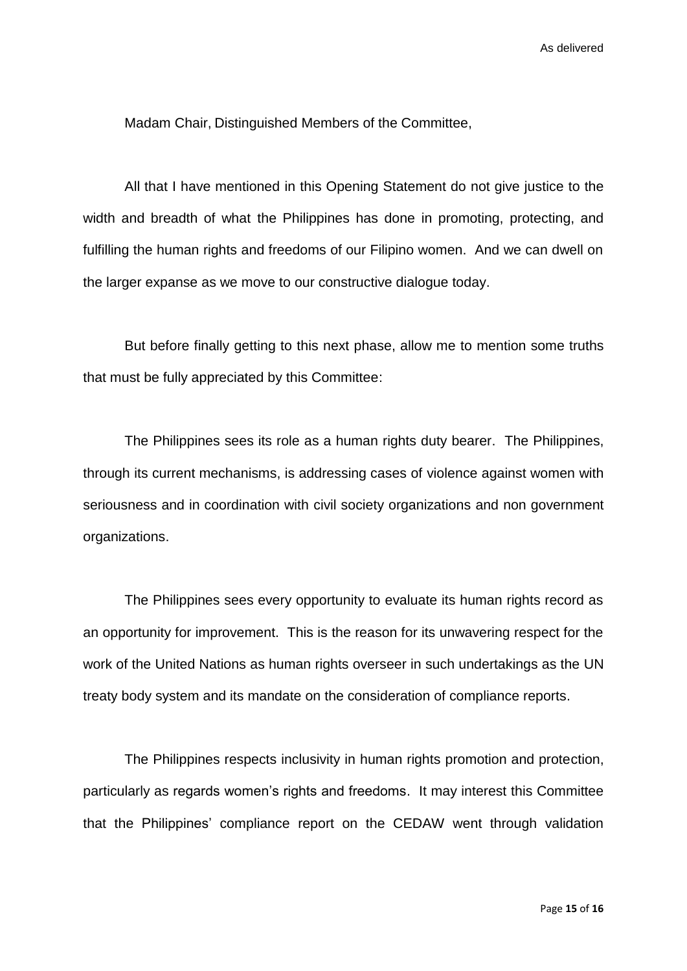Madam Chair, Distinguished Members of the Committee,

All that I have mentioned in this Opening Statement do not give justice to the width and breadth of what the Philippines has done in promoting, protecting, and fulfilling the human rights and freedoms of our Filipino women. And we can dwell on the larger expanse as we move to our constructive dialogue today.

But before finally getting to this next phase, allow me to mention some truths that must be fully appreciated by this Committee:

The Philippines sees its role as a human rights duty bearer. The Philippines, through its current mechanisms, is addressing cases of violence against women with seriousness and in coordination with civil society organizations and non government organizations.

The Philippines sees every opportunity to evaluate its human rights record as an opportunity for improvement. This is the reason for its unwavering respect for the work of the United Nations as human rights overseer in such undertakings as the UN treaty body system and its mandate on the consideration of compliance reports.

The Philippines respects inclusivity in human rights promotion and protection, particularly as regards women's rights and freedoms. It may interest this Committee that the Philippines' compliance report on the CEDAW went through validation